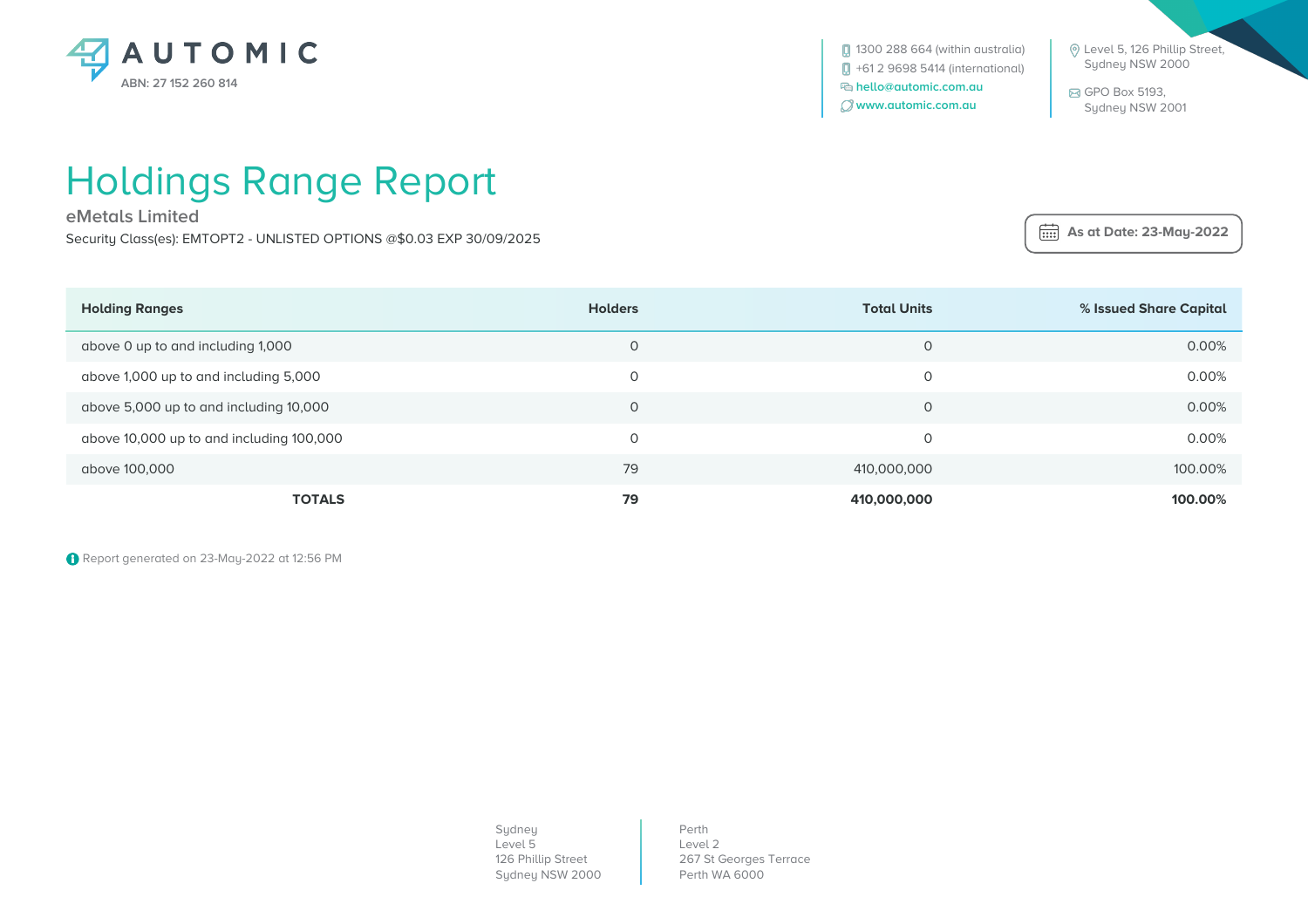

1300 288 664 (within australia) +61 2 9698 5414 (international)  **hello@automic.com.au www.automic.com.au**

 Level 5, 126 Phillip Street, Sydney NSW 2000

 GPO Box 5193, Sydney NSW 2001

 **As at Date: 23-May-2022**

## Holdings Range Report

**eMetals Limited**

Security Class(es): EMTOPT2 - UNLISTED OPTIONS @\$0.03 EXP 30/09/2025

| <b>Holding Ranges</b>                    | <b>Holders</b> | <b>Total Units</b> | % Issued Share Capital |
|------------------------------------------|----------------|--------------------|------------------------|
| above 0 up to and including 1,000        | 0              | 0                  | 0.00%                  |
| above 1,000 up to and including 5,000    | 0              | 0                  | 0.00%                  |
| above 5,000 up to and including 10,000   | $\circ$        | $\Omega$           | 0.00%                  |
| above 10,000 up to and including 100,000 | $\circ$        | 0                  | 0.00%                  |
| above 100,000                            | 79             | 410,000,000        | 100.00%                |
| <b>TOTALS</b>                            | 79             | 410,000,000        | 100.00%                |

Report generated on 23-May-2022 at 12:56 PM

| Sydney             |
|--------------------|
| Level 5            |
| 126 Phillip Street |
| Sydney NSW 2000    |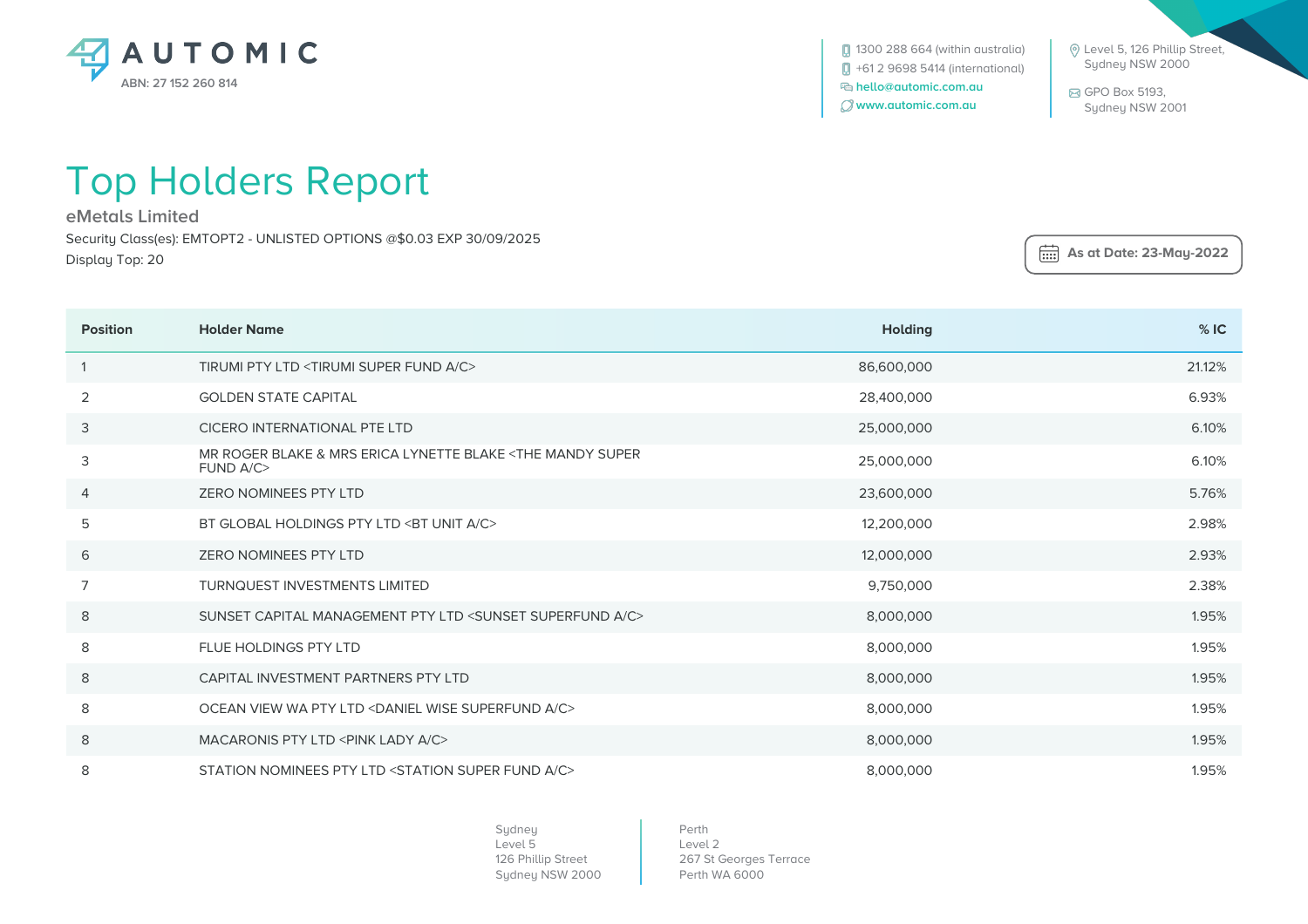

1300 288 664 (within australia) +61 2 9698 5414 (international)  **hello@automic.com.au www.automic.com.au**

 Level 5, 126 Phillip Street, Sydney NSW 2000

 GPO Box 5193, Sydney NSW 2001

 **As at Date: 23-May-2022**

## Top Holders Report

**eMetals Limited**

Security Class(es): EMTOPT2 - UNLISTED OPTIONS @\$0.03 EXP 30/09/2025 Display Top: 20

| <b>Position</b> | <b>Holder Name</b>                                                                    | <b>Holding</b> | %IC    |
|-----------------|---------------------------------------------------------------------------------------|----------------|--------|
|                 | TIRUMI PTY LTD <tirumi a="" c="" fund="" super=""></tirumi>                           | 86,600,000     | 21.12% |
| 2               | <b>GOLDEN STATE CAPITAL</b>                                                           | 28,400,000     | 6.93%  |
| 3               | CICERO INTERNATIONAL PTE LTD                                                          | 25,000,000     | 6.10%  |
| 3               | MR ROGER BLAKE & MRS ERICA LYNETTE BLAKE <the mandy="" super<br="">FUND A/C&gt;</the> | 25,000,000     | 6.10%  |
| 4               | <b>ZERO NOMINEES PTY LTD</b>                                                          | 23,600,000     | 5.76%  |
| 5               | BT GLOBAL HOLDINGS PTY LTD <bt a="" c="" unit=""></bt>                                | 12,200,000     | 2.98%  |
| 6               | <b>ZERO NOMINEES PTY LTD</b>                                                          | 12,000,000     | 2.93%  |
| 7               | <b>TURNQUEST INVESTMENTS LIMITED</b>                                                  | 9,750,000      | 2.38%  |
| 8               | SUNSET CAPITAL MANAGEMENT PTY LTD <sunset a="" c="" superfund=""></sunset>            | 8,000,000      | 1.95%  |
| 8               | <b>FLUE HOLDINGS PTY LTD</b>                                                          | 8,000,000      | 1.95%  |
| 8               | CAPITAL INVESTMENT PARTNERS PTY LTD                                                   | 8,000,000      | 1.95%  |
| 8               | OCEAN VIEW WA PTY LTD <daniel a="" c="" superfund="" wise=""></daniel>                | 8,000,000      | 1.95%  |
| 8               | MACARONIS PTY LTD <pink a="" c="" lady=""></pink>                                     | 8,000,000      | 1.95%  |
| 8               | STATION NOMINEES PTY LTD <station a="" c="" fund="" super=""></station>               | 8,000,000      | 1.95%  |

Sydney Level 5 126 Phillip Street Sydney NSW 2000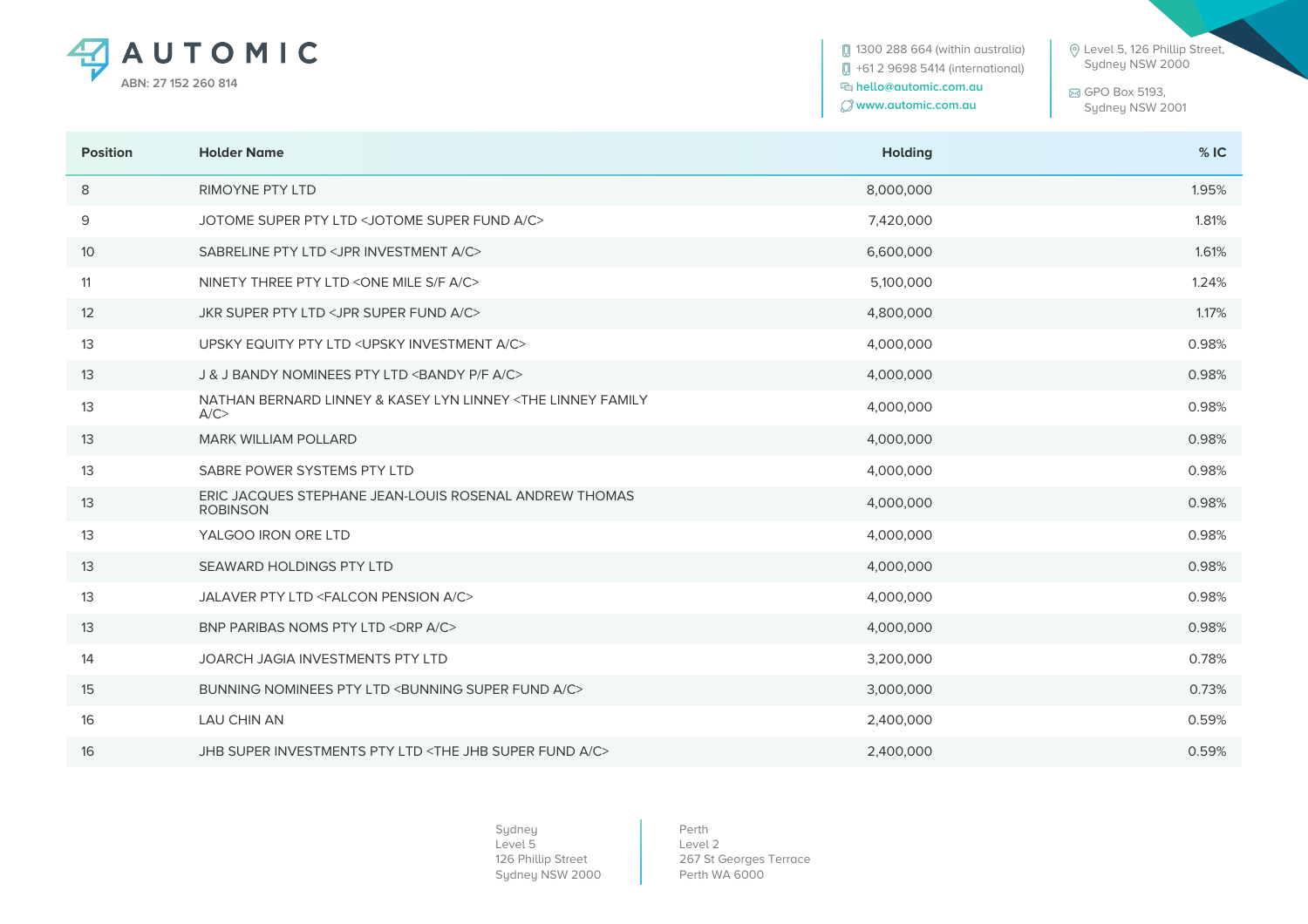

**0** 1300 288 664 (within australia) +61 2 9698 5414 (international)  **hello@automic.com.au www.automic.com.au**

 Level 5, 126 Phillip Street, Sydney NSW 2000

 GPO Box 5193, Sydney NSW 2001

| <b>Position</b> | <b>Holder Name</b>                                                             | <b>Holding</b> | %IC   |
|-----------------|--------------------------------------------------------------------------------|----------------|-------|
| 8               | <b>RIMOYNE PTY LTD</b>                                                         | 8,000,000      | 1.95% |
| 9               | JOTOME SUPER PTY LTD < JOTOME SUPER FUND A/C>                                  | 7,420,000      | 1.81% |
| 10              | SABRELINE PTY LTD <jpr a="" c="" investment=""></jpr>                          | 6,600,000      | 1.61% |
| 11              | NINETY THREE PTY LTD <one a="" c="" f="" mile="" s=""></one>                   | 5,100,000      | 1.24% |
| 12              | JKR SUPER PTY LTD <jpr a="" c="" fund="" super=""></jpr>                       | 4,800,000      | 1.17% |
| 13              | UPSKY EQUITY PTY LTD < UPSKY INVESTMENT A/C>                                   | 4,000,000      | 0.98% |
| 13              | J & J BANDY NOMINEES PTY LTD <bandy a="" c="" f="" p=""></bandy>               | 4,000,000      | 0.98% |
| 13              | NATHAN BERNARD LINNEY & KASEY LYN LINNEY <the family<br="" linney="">A/C</the> | 4,000,000      | 0.98% |
| 13              | <b>MARK WILLIAM POLLARD</b>                                                    | 4,000,000      | 0.98% |
| 13              | SABRE POWER SYSTEMS PTY LTD                                                    | 4,000,000      | 0.98% |
| 13              | ERIC JACQUES STEPHANE JEAN-LOUIS ROSENAL ANDREW THOMAS<br><b>ROBINSON</b>      | 4,000,000      | 0.98% |
| 13              | YALGOO IRON ORE LTD                                                            | 4,000,000      | 0.98% |
| 13              | SEAWARD HOLDINGS PTY LTD                                                       | 4,000,000      | 0.98% |
| 13              | JALAVER PTY LTD <falcon a="" c="" pension=""></falcon>                         | 4,000,000      | 0.98% |
| 13              | BNP PARIBAS NOMS PTY LTD <drp a="" c=""></drp>                                 | 4,000,000      | 0.98% |
| 14              | JOARCH JAGIA INVESTMENTS PTY LTD                                               | 3,200,000      | 0.78% |
| 15              | BUNNING NOMINEES PTY LTD <bunning a="" c="" fund="" super=""></bunning>        | 3,000,000      | 0.73% |
| 16              | <b>LAU CHIN AN</b>                                                             | 2,400,000      | 0.59% |
| 16              | JHB SUPER INVESTMENTS PTY LTD <the a="" c="" fund="" jhb="" super=""></the>    | 2,400,000      | 0.59% |

Sydney Level 5 126 Phillip Street Sydney NSW 2000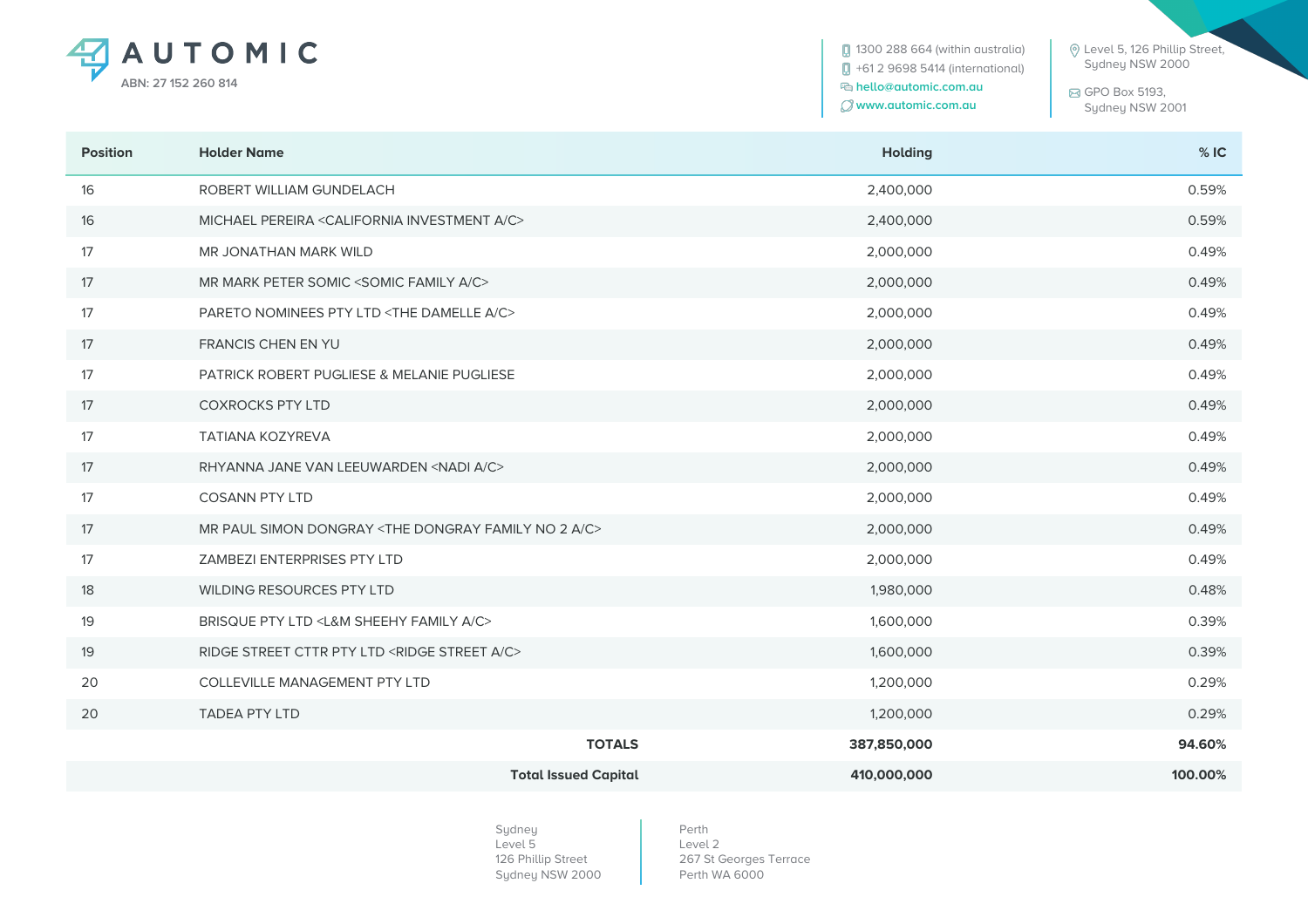

**0** 1300 288 664 (within australia) +61 2 9698 5414 (international)  **hello@automic.com.au www.automic.com.au**

 Level 5, 126 Phillip Street, Sydney NSW 2000

 GPO Box 5193, Sydney NSW 2001

| <b>Position</b> | <b>Holder Name</b>                                                          | <b>Holding</b> | %IC     |
|-----------------|-----------------------------------------------------------------------------|----------------|---------|
| 16              | ROBERT WILLIAM GUNDELACH                                                    | 2,400,000      | 0.59%   |
| 16              | MICHAEL PEREIRA <california a="" c="" investment=""></california>           | 2,400,000      | 0.59%   |
| 17              | MR JONATHAN MARK WILD                                                       | 2,000,000      | 0.49%   |
| 17              | MR MARK PETER SOMIC <somic a="" c="" family=""></somic>                     | 2,000,000      | 0.49%   |
| 17              | PARETO NOMINEES PTY LTD <the a="" c="" damelle=""></the>                    | 2,000,000      | 0.49%   |
| 17              | FRANCIS CHEN EN YU                                                          | 2,000,000      | 0.49%   |
| 17              | PATRICK ROBERT PUGLIESE & MELANIE PUGLIESE                                  | 2,000,000      | 0.49%   |
| 17              | <b>COXROCKS PTY LTD</b>                                                     | 2,000,000      | 0.49%   |
| 17              | <b>TATIANA KOZYREVA</b>                                                     | 2,000,000      | 0.49%   |
| 17              | RHYANNA JANE VAN LEEUWARDEN <nadi a="" c=""></nadi>                         | 2,000,000      | 0.49%   |
| 17              | <b>COSANN PTY LTD</b>                                                       | 2,000,000      | 0.49%   |
| 17              | MR PAUL SIMON DONGRAY <the 2="" a="" c="" dongray="" family="" no=""></the> | 2,000,000      | 0.49%   |
| 17              | ZAMBEZI ENTERPRISES PTY LTD                                                 | 2,000,000      | 0.49%   |
| 18              | WILDING RESOURCES PTY LTD                                                   | 1,980,000      | 0.48%   |
| 19              | BRISQUE PTY LTD <l&m a="" c="" family="" sheehy=""></l&m>                   | 1,600,000      | 0.39%   |
| 19              | RIDGE STREET CTTR PTY LTD <ridge a="" c="" street=""></ridge>               | 1,600,000      | 0.39%   |
| 20              | COLLEVILLE MANAGEMENT PTY LTD                                               | 1,200,000      | 0.29%   |
| 20              | <b>TADEA PTY LTD</b>                                                        | 1,200,000      | 0.29%   |
|                 | <b>TOTALS</b>                                                               | 387,850,000    | 94.60%  |
|                 | <b>Total Issued Capital</b>                                                 | 410,000,000    | 100.00% |

Sydney Level 5 126 Phillip Street Sydney NSW 2000